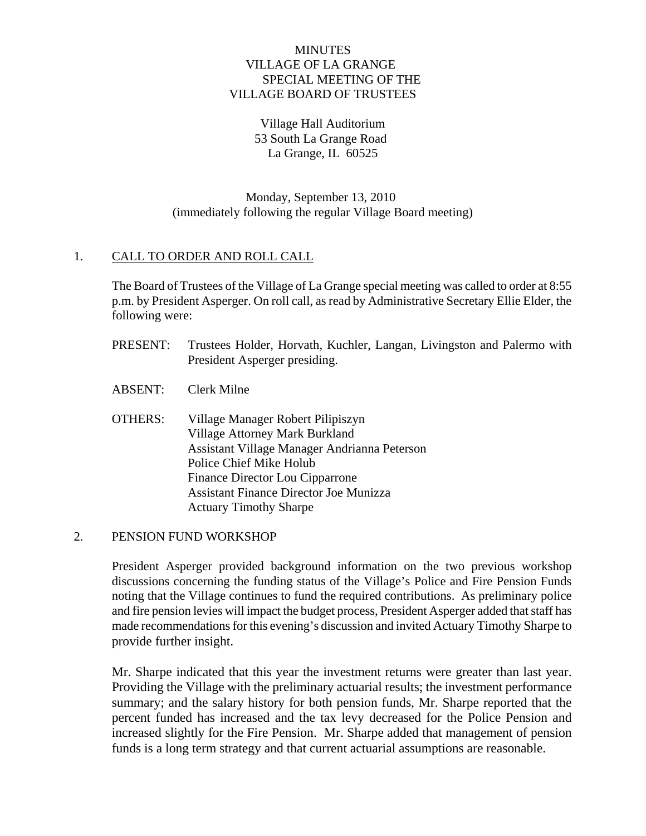## **MINUTES**  VILLAGE OF LA GRANGE SPECIAL MEETING OF THE VILLAGE BOARD OF TRUSTEES

Village Hall Auditorium 53 South La Grange Road La Grange, IL 60525

 Monday, September 13, 2010 (immediately following the regular Village Board meeting)

## 1. CALL TO ORDER AND ROLL CALL

The Board of Trustees of the Village of La Grange special meeting was called to order at 8:55 p.m. by President Asperger. On roll call, as read by Administrative Secretary Ellie Elder, the following were:

- PRESENT: Trustees Holder, Horvath, Kuchler, Langan, Livingston and Palermo with President Asperger presiding.
- ABSENT: Clerk Milne
- OTHERS: Village Manager Robert Pilipiszyn Village Attorney Mark Burkland Assistant Village Manager Andrianna Peterson Police Chief Mike Holub Finance Director Lou Cipparrone Assistant Finance Director Joe Munizza Actuary Timothy Sharpe

## 2. PENSION FUND WORKSHOP

President Asperger provided background information on the two previous workshop discussions concerning the funding status of the Village's Police and Fire Pension Funds noting that the Village continues to fund the required contributions. As preliminary police and fire pension levies will impact the budget process, President Asperger added that staff has made recommendations for this evening's discussion and invited Actuary Timothy Sharpe to provide further insight.

 Mr. Sharpe indicated that this year the investment returns were greater than last year. Providing the Village with the preliminary actuarial results; the investment performance summary; and the salary history for both pension funds, Mr. Sharpe reported that the percent funded has increased and the tax levy decreased for the Police Pension and increased slightly for the Fire Pension. Mr. Sharpe added that management of pension funds is a long term strategy and that current actuarial assumptions are reasonable.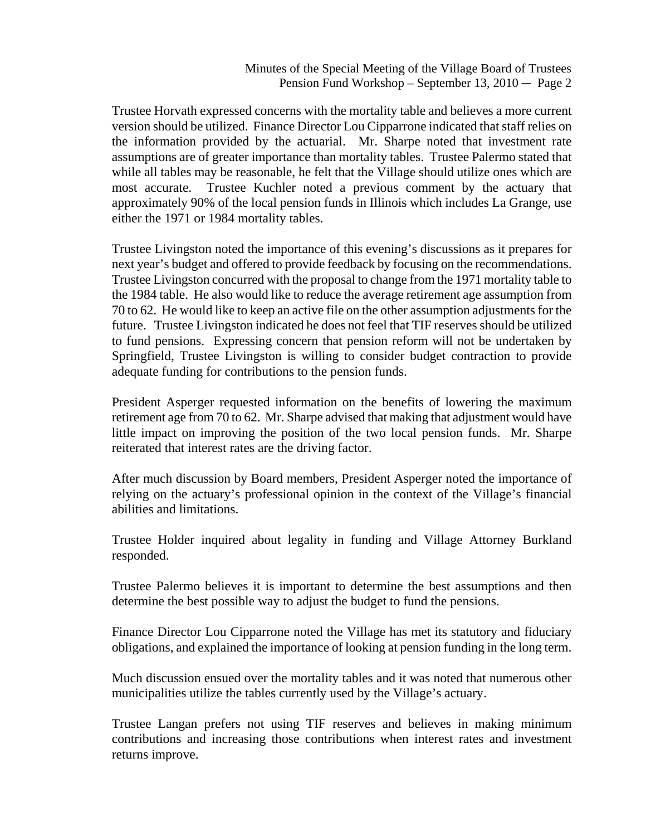Trustee Horvath expressed concerns with the mortality table and believes a more current version should be utilized. Finance Director Lou Cipparrone indicated that staff relies on the information provided by the actuarial. Mr. Sharpe noted that investment rate assumptions are of greater importance than mortality tables. Trustee Palermo stated that while all tables may be reasonable, he felt that the Village should utilize ones which are most accurate. Trustee Kuchler noted a previous comment by the actuary that approximately 90% of the local pension funds in Illinois which includes La Grange, use either the 1971 or 1984 mortality tables.

Trustee Livingston noted the importance of this evening's discussions as it prepares for next year's budget and offered to provide feedback by focusing on the recommendations. Trustee Livingston concurred with the proposal to change from the 1971 mortality table to the 1984 table. He also would like to reduce the average retirement age assumption from 70 to 62. He would like to keep an active file on the other assumption adjustments for the future. Trustee Livingston indicated he does not feel that TIF reserves should be utilized to fund pensions. Expressing concern that pension reform will not be undertaken by Springfield, Trustee Livingston is willing to consider budget contraction to provide adequate funding for contributions to the pension funds.

 President Asperger requested information on the benefits of lowering the maximum retirement age from 70 to 62. Mr. Sharpe advised that making that adjustment would have little impact on improving the position of the two local pension funds. Mr. Sharpe reiterated that interest rates are the driving factor.

 After much discussion by Board members, President Asperger noted the importance of relying on the actuary's professional opinion in the context of the Village's financial abilities and limitations.

 Trustee Holder inquired about legality in funding and Village Attorney Burkland responded.

 Trustee Palermo believes it is important to determine the best assumptions and then determine the best possible way to adjust the budget to fund the pensions.

 Finance Director Lou Cipparrone noted the Village has met its statutory and fiduciary obligations, and explained the importance of looking at pension funding in the long term.

 Much discussion ensued over the mortality tables and it was noted that numerous other municipalities utilize the tables currently used by the Village's actuary.

 Trustee Langan prefers not using TIF reserves and believes in making minimum contributions and increasing those contributions when interest rates and investment returns improve.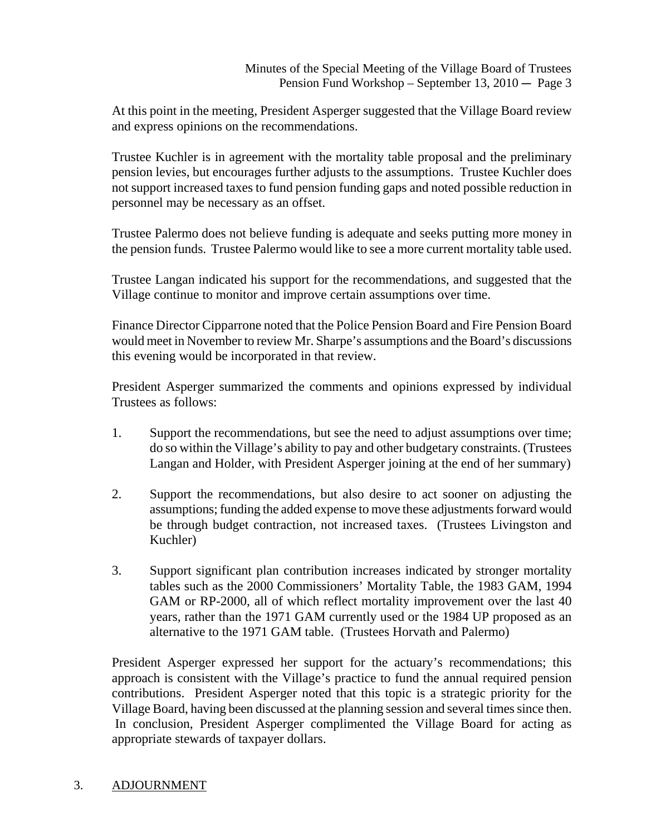At this point in the meeting, President Asperger suggested that the Village Board review and express opinions on the recommendations.

 Trustee Kuchler is in agreement with the mortality table proposal and the preliminary pension levies, but encourages further adjusts to the assumptions. Trustee Kuchler does not support increased taxes to fund pension funding gaps and noted possible reduction in personnel may be necessary as an offset.

 Trustee Palermo does not believe funding is adequate and seeks putting more money in the pension funds. Trustee Palermo would like to see a more current mortality table used.

 Trustee Langan indicated his support for the recommendations, and suggested that the Village continue to monitor and improve certain assumptions over time.

 Finance Director Cipparrone noted that the Police Pension Board and Fire Pension Board would meet in November to review Mr. Sharpe's assumptions and the Board's discussions this evening would be incorporated in that review.

 President Asperger summarized the comments and opinions expressed by individual Trustees as follows:

- 1. Support the recommendations, but see the need to adjust assumptions over time; do so within the Village's ability to pay and other budgetary constraints. (Trustees Langan and Holder, with President Asperger joining at the end of her summary)
- 2. Support the recommendations, but also desire to act sooner on adjusting the assumptions; funding the added expense to move these adjustments forward would be through budget contraction, not increased taxes. (Trustees Livingston and Kuchler)
- 3. Support significant plan contribution increases indicated by stronger mortality tables such as the 2000 Commissioners' Mortality Table, the 1983 GAM, 1994 GAM or RP-2000, all of which reflect mortality improvement over the last 40 years, rather than the 1971 GAM currently used or the 1984 UP proposed as an alternative to the 1971 GAM table. (Trustees Horvath and Palermo)

 President Asperger expressed her support for the actuary's recommendations; this approach is consistent with the Village's practice to fund the annual required pension contributions. President Asperger noted that this topic is a strategic priority for the Village Board, having been discussed at the planning session and several times since then. In conclusion, President Asperger complimented the Village Board for acting as appropriate stewards of taxpayer dollars.

## 3. ADJOURNMENT